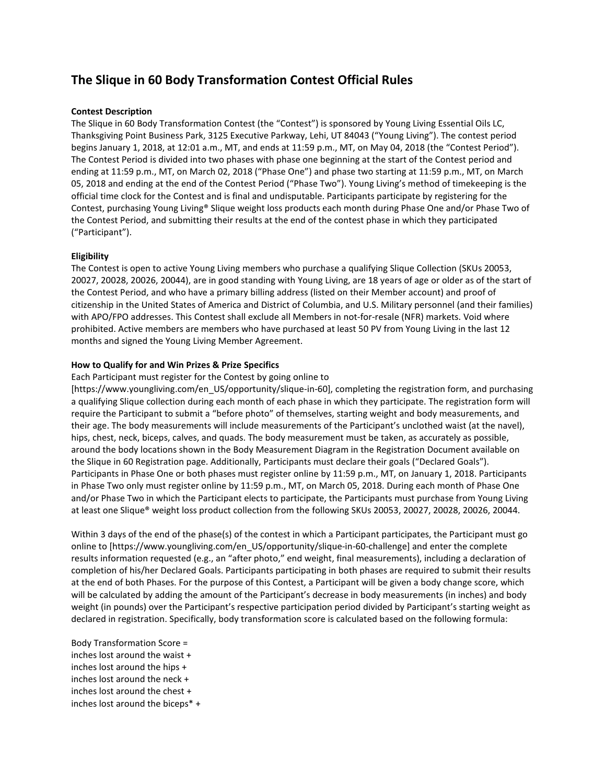# **The Slique in 60 Body Transformation Contest Official Rules**

# **Contest Description**

The Slique in 60 Body Transformation Contest (the "Contest") is sponsored by Young Living Essential Oils LC, Thanksgiving Point Business Park, 3125 Executive Parkway, Lehi, UT 84043 ("Young Living"). The contest period begins January 1, 2018, at 12:01 a.m., MT, and ends at 11:59 p.m., MT, on May 04, 2018 (the "Contest Period"). The Contest Period is divided into two phases with phase one beginning at the start of the Contest period and ending at 11:59 p.m., MT, on March 02, 2018 ("Phase One") and phase two starting at 11:59 p.m., MT, on March 05, 2018 and ending at the end of the Contest Period ("Phase Two"). Young Living's method of timekeeping is the official time clock for the Contest and is final and undisputable. Participants participate by registering for the Contest, purchasing Young Living® Slique weight loss products each month during Phase One and/or Phase Two of the Contest Period, and submitting their results at the end of the contest phase in which they participated ("Participant").

## **Eligibility**

The Contest is open to active Young Living members who purchase a qualifying Slique Collection (SKUs 20053, 20027, 20028, 20026, 20044), are in good standing with Young Living, are 18 years of age or older as of the start of the Contest Period, and who have a primary billing address (listed on their Member account) and proof of citizenship in the United States of America and District of Columbia, and U.S. Military personnel (and their families) with APO/FPO addresses. This Contest shall exclude all Members in not-for-resale (NFR) markets. Void where prohibited. Active members are members who have purchased at least 50 PV from Young Living in the last 12 months and signed the Young Living Member Agreement.

# **How to Qualify for and Win Prizes & Prize Specifics**

Each Participant must register for the Contest by going online to

[https://www.youngliving.com/en\_US/opportunity/slique-in-60], completing the registration form, and purchasing a qualifying Slique collection during each month of each phase in which they participate. The registration form will require the Participant to submit a "before photo" of themselves, starting weight and body measurements, and their age. The body measurements will include measurements of the Participant's unclothed waist (at the navel), hips, chest, neck, biceps, calves, and quads. The body measurement must be taken, as accurately as possible, around the body locations shown in the Body Measurement Diagram in the Registration Document available on the Slique in 60 Registration page. Additionally, Participants must declare their goals ("Declared Goals"). Participants in Phase One or both phases must register online by 11:59 p.m., MT, on January 1, 2018. Participants in Phase Two only must register online by 11:59 p.m., MT, on March 05, 2018. During each month of Phase One and/or Phase Two in which the Participant elects to participate, the Participants must purchase from Young Living at least one Slique® weight loss product collection from the following SKUs 20053, 20027, 20028, 20026, 20044.

Within 3 days of the end of the phase(s) of the contest in which a Participant participates, the Participant must go online to [https://www.youngliving.com/en\_US/opportunity/slique-in-60-challenge] and enter the complete results information requested (e.g., an "after photo," end weight, final measurements), including a declaration of completion of his/her Declared Goals. Participants participating in both phases are required to submit their results at the end of both Phases. For the purpose of this Contest, a Participant will be given a body change score, which will be calculated by adding the amount of the Participant's decrease in body measurements (in inches) and body weight (in pounds) over the Participant's respective participation period divided by Participant's starting weight as declared in registration. Specifically, body transformation score is calculated based on the following formula:

Body Transformation Score = inches lost around the waist + inches lost around the hips + inches lost around the neck + inches lost around the chest + inches lost around the biceps\* +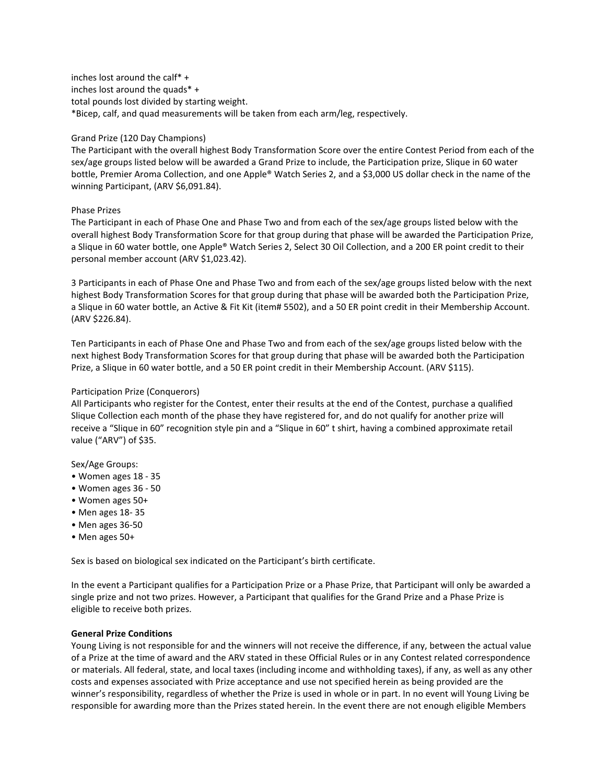inches lost around the calf\* + inches lost around the quads\* + total pounds lost divided by starting weight. \*Bicep, calf, and quad measurements will be taken from each arm/leg, respectively.

# Grand Prize (120 Day Champions)

The Participant with the overall highest Body Transformation Score over the entire Contest Period from each of the sex/age groups listed below will be awarded a Grand Prize to include, the Participation prize, Slique in 60 water bottle, Premier Aroma Collection, and one Apple® Watch Series 2, and a \$3,000 US dollar check in the name of the winning Participant, (ARV \$6,091.84).

## Phase Prizes

The Participant in each of Phase One and Phase Two and from each of the sex/age groups listed below with the overall highest Body Transformation Score for that group during that phase will be awarded the Participation Prize, a Slique in 60 water bottle, one Apple® Watch Series 2, Select 30 Oil Collection, and a 200 ER point credit to their personal member account (ARV \$1,023.42).

3 Participants in each of Phase One and Phase Two and from each of the sex/age groups listed below with the next highest Body Transformation Scores for that group during that phase will be awarded both the Participation Prize, a Slique in 60 water bottle, an Active & Fit Kit (item# 5502), and a 50 ER point credit in their Membership Account. (ARV \$226.84).

Ten Participants in each of Phase One and Phase Two and from each of the sex/age groups listed below with the next highest Body Transformation Scores for that group during that phase will be awarded both the Participation Prize, a Slique in 60 water bottle, and a 50 ER point credit in their Membership Account. (ARV \$115).

# Participation Prize (Conquerors)

All Participants who register for the Contest, enter their results at the end of the Contest, purchase a qualified Slique Collection each month of the phase they have registered for, and do not qualify for another prize will receive a "Slique in 60" recognition style pin and a "Slique in 60" t shirt, having a combined approximate retail value ("ARV") of \$35.

Sex/Age Groups:

- Women ages 18 35
- Women ages 36 50
- Women ages 50+
- Men ages 18- 35
- Men ages 36-50
- Men ages 50+

Sex is based on biological sex indicated on the Participant's birth certificate.

In the event a Participant qualifies for a Participation Prize or a Phase Prize, that Participant will only be awarded a single prize and not two prizes. However, a Participant that qualifies for the Grand Prize and a Phase Prize is eligible to receive both prizes.

## **General Prize Conditions**

Young Living is not responsible for and the winners will not receive the difference, if any, between the actual value of a Prize at the time of award and the ARV stated in these Official Rules or in any Contest related correspondence or materials. All federal, state, and local taxes (including income and withholding taxes), if any, as well as any other costs and expenses associated with Prize acceptance and use not specified herein as being provided are the winner's responsibility, regardless of whether the Prize is used in whole or in part. In no event will Young Living be responsible for awarding more than the Prizes stated herein. In the event there are not enough eligible Members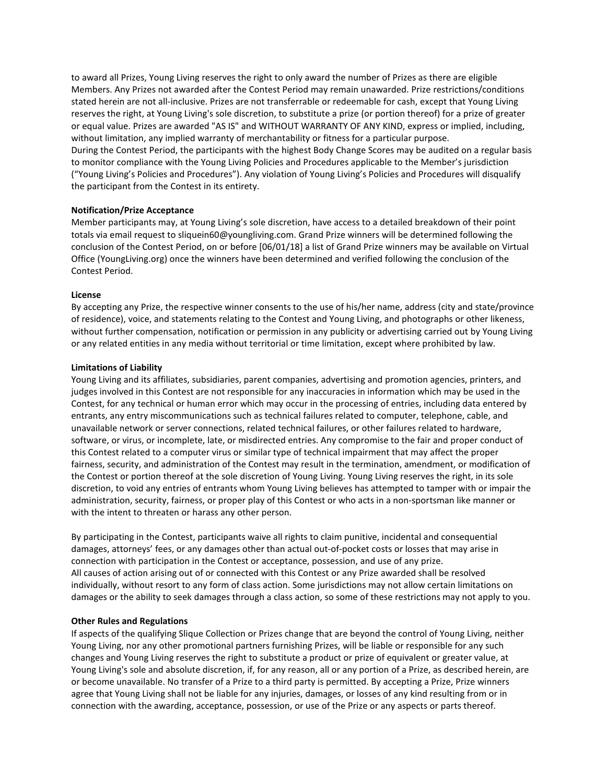to award all Prizes, Young Living reserves the right to only award the number of Prizes as there are eligible Members. Any Prizes not awarded after the Contest Period may remain unawarded. Prize restrictions/conditions stated herein are not all-inclusive. Prizes are not transferrable or redeemable for cash, except that Young Living reserves the right, at Young Living's sole discretion, to substitute a prize (or portion thereof) for a prize of greater or equal value. Prizes are awarded "AS IS" and WITHOUT WARRANTY OF ANY KIND, express or implied, including, without limitation, any implied warranty of merchantability or fitness for a particular purpose. During the Contest Period, the participants with the highest Body Change Scores may be audited on a regular basis to monitor compliance with the Young Living Policies and Procedures applicable to the Member's jurisdiction ("Young Living's Policies and Procedures"). Any violation of Young Living's Policies and Procedures will disqualify the participant from the Contest in its entirety.

## **Notification/Prize Acceptance**

Member participants may, at Young Living's sole discretion, have access to a detailed breakdown of their point totals via email request to sliquein60@youngliving.com. Grand Prize winners will be determined following the conclusion of the Contest Period, on or before [06/01/18] a list of Grand Prize winners may be available on Virtual Office (YoungLiving.org) once the winners have been determined and verified following the conclusion of the Contest Period.

## **License**

By accepting any Prize, the respective winner consents to the use of his/her name, address (city and state/province of residence), voice, and statements relating to the Contest and Young Living, and photographs or other likeness, without further compensation, notification or permission in any publicity or advertising carried out by Young Living or any related entities in any media without territorial or time limitation, except where prohibited by law.

# **Limitations of Liability**

Young Living and its affiliates, subsidiaries, parent companies, advertising and promotion agencies, printers, and judges involved in this Contest are not responsible for any inaccuracies in information which may be used in the Contest, for any technical or human error which may occur in the processing of entries, including data entered by entrants, any entry miscommunications such as technical failures related to computer, telephone, cable, and unavailable network or server connections, related technical failures, or other failures related to hardware, software, or virus, or incomplete, late, or misdirected entries. Any compromise to the fair and proper conduct of this Contest related to a computer virus or similar type of technical impairment that may affect the proper fairness, security, and administration of the Contest may result in the termination, amendment, or modification of the Contest or portion thereof at the sole discretion of Young Living. Young Living reserves the right, in its sole discretion, to void any entries of entrants whom Young Living believes has attempted to tamper with or impair the administration, security, fairness, or proper play of this Contest or who acts in a non-sportsman like manner or with the intent to threaten or harass any other person.

By participating in the Contest, participants waive all rights to claim punitive, incidental and consequential damages, attorneys' fees, or any damages other than actual out-of-pocket costs or losses that may arise in connection with participation in the Contest or acceptance, possession, and use of any prize. All causes of action arising out of or connected with this Contest or any Prize awarded shall be resolved individually, without resort to any form of class action. Some jurisdictions may not allow certain limitations on damages or the ability to seek damages through a class action, so some of these restrictions may not apply to you.

## **Other Rules and Regulations**

If aspects of the qualifying Slique Collection or Prizes change that are beyond the control of Young Living, neither Young Living, nor any other promotional partners furnishing Prizes, will be liable or responsible for any such changes and Young Living reserves the right to substitute a product or prize of equivalent or greater value, at Young Living's sole and absolute discretion, if, for any reason, all or any portion of a Prize, as described herein, are or become unavailable. No transfer of a Prize to a third party is permitted. By accepting a Prize, Prize winners agree that Young Living shall not be liable for any injuries, damages, or losses of any kind resulting from or in connection with the awarding, acceptance, possession, or use of the Prize or any aspects or parts thereof.